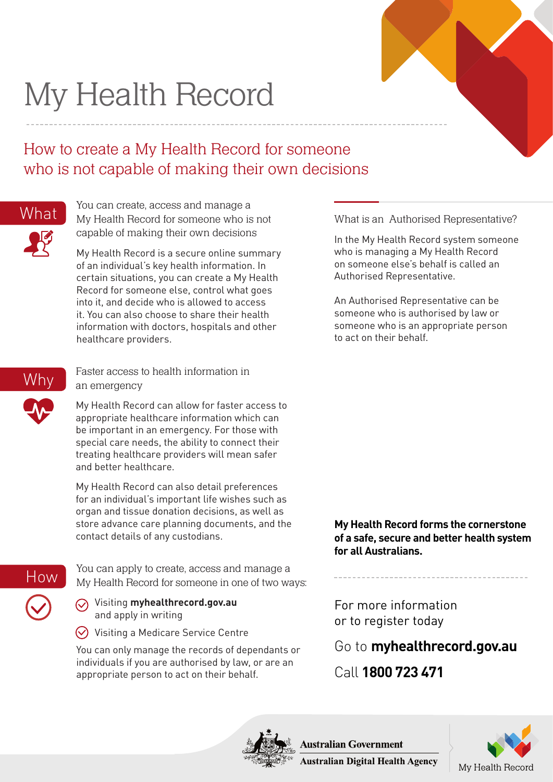## My Health Record

## How to create a My Health Record for someone who is not capable of making their own decisions



You can create, access and manage a What My Health Record for someone who is not what is an Authorised Representative? capable of making their own decisions

> My Health Record is a secure online summary of an individual's key health information. In certain situations, you can create a My Health Record for someone else, control what goes into it, and decide who is allowed to access it. You can also choose to share their health information with doctors, hospitals and other healthcare providers.



Faster access to health information in an emergency

My Health Record can allow for faster access to appropriate healthcare information which can be important in an emergency. For those with special care needs, the ability to connect their treating healthcare providers will mean safer and better healthcare.

My Health Record can also detail preferences for an individual's important life wishes such as organ and tissue donation decisions, as well as store advance care planning documents, and the contact details of any custodians.

## How

You can apply to create, access and manage a My Health Record for someone in one of two ways:

Visiting **myhealthrecord.gov.au** and apply in writing

 $\heartsuit$  Visiting a Medicare Service Centre

You can only manage the records of dependants or individuals if you are authorised by law, or are an appropriate person to act on their behalf.

In the My Health Record system someone who is managing a My Health Record on someone else's behalf is called an Authorised Representative.

An Authorised Representative can be someone who is authorised by law or someone who is an appropriate person to act on their behalf.

**My Health Record forms the cornerstone of a safe, secure and better health system for all Australians.**

For more information or to register today

Go to **myhealthrecord.gov.au**

Call **1800 723 471**



**Australian Government** 



**Australian Digital Health Agency**